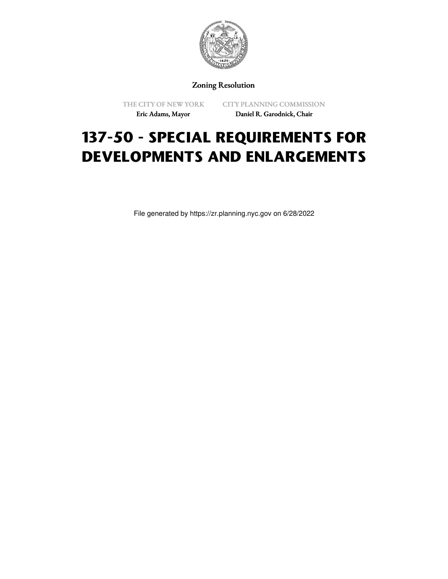

Zoning Resolution

THE CITY OF NEW YORK Eric Adams, Mayor

CITY PLANNING COMMISSION Daniel R. Garodnick, Chair

## **137-50 - SPECIAL REQUIREMENTS FOR DEVELOPMENTS AND ENLARGEMENTS**

File generated by https://zr.planning.nyc.gov on 6/28/2022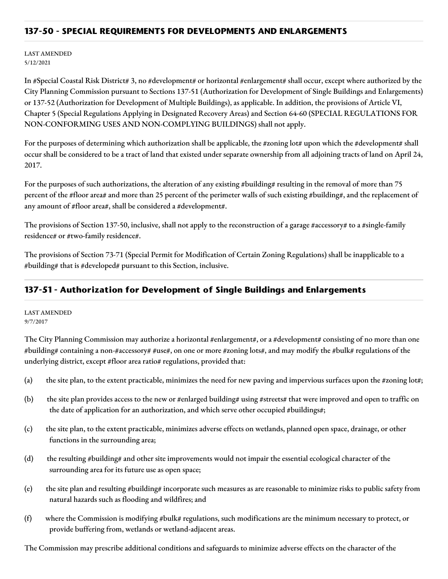## **137-50 - SPECIAL REQUIREMENTS FOR DEVELOPMENTS AND ENLARGEMENTS**

LAST AMENDED 5/12/2021

In #Special Coastal Risk District# 3, no #development# or horizontal #enlargement# shall occur, except where authorized by the City Planning Commission pursuant to Sections 137-51 (Authorization for Development of Single Buildings and Enlargements) or 137-52 (Authorization for Development of Multiple Buildings), as applicable. In addition, the provisions of Article VI, Chapter 5 (Special Regulations Applying in Designated Recovery Areas) and Section 64-60 (SPECIAL REGULATIONS FOR NON-CONFORMING USES AND NON-COMPLYING BUILDINGS) shall not apply.

For the purposes of determining which authorization shall be applicable, the #zoning lot# upon which the #development# shall occur shall be considered to be a tract of land that existed under separate ownership from all adjoining tracts of land on April 24, 2017.

For the purposes of such authorizations, the alteration of any existing #building# resulting in the removal of more than 75 percent of the #floor area# and more than 25 percent of the perimeter walls of such existing #building#, and the replacement of any amount of #floor area#, shall be considered a #development#.

The provisions of Section 137-50, inclusive, shall not apply to the reconstruction of a garage #accessory# to a #single-family residence# or #two-family residence#.

The provisions of Section 73-71 (Special Permit for Modification of Certain Zoning Regulations) shall be inapplicable to a #building# that is #developed# pursuant to this Section, inclusive.

## **137-51 - Authorization for Development of Single Buildings and Enlargements**

LAST AMENDED 9/7/2017

The City Planning Commission may authorize a horizontal #enlargement#, or a #development# consisting of no more than one #building# containing a non-#accessory# #use#, on one or more #zoning lots#, and may modify the #bulk# regulations of the underlying district, except #floor area ratio# regulations, provided that:

- (a) the site plan, to the extent practicable, minimizes the need for new paving and impervious surfaces upon the #zoning lot#;
- (b) the site plan provides access to the new or #enlarged building# using #streets# that were improved and open to traffic on the date of application for an authorization, and which serve other occupied #buildings#;
- (c) the site plan, to the extent practicable, minimizes adverse effects on wetlands, planned open space, drainage, or other functions in the surrounding area;
- (d) the resulting #building# and other site improvements would not impair the essential ecological character of the surrounding area for its future use as open space;
- (e) the site plan and resulting #building# incorporate such measures as are reasonable to minimize risks to public safety from natural hazards such as flooding and wildfires; and
- (f) where the Commission is modifying #bulk# regulations, such modifications are the minimum necessary to protect, or provide buffering from, wetlands or wetland-adjacent areas.

The Commission may prescribe additional conditions and safeguards to minimize adverse effects on the character of the